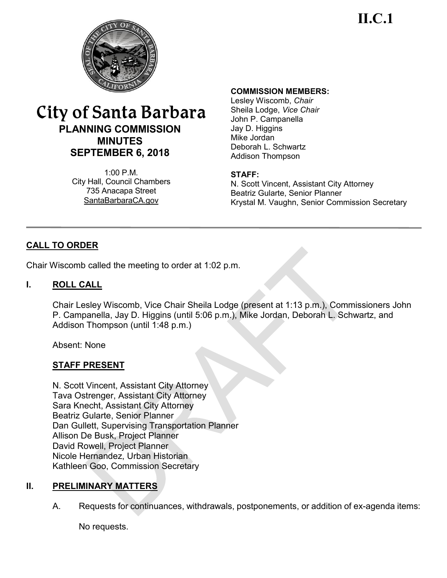**II.C.1**



# City of Santa Barbara **PLANNING COMMISSION MINUTES SEPTEMBER 6, 2018**

 $1:00 \text{ P M}$ City Hall, Council Chambers 735 Anacapa Street SantaBarbaraCA.gov

#### **COMMISSION MEMBERS:**

Lesley Wiscomb, *Chair* Sheila Lodge, *Vice Chair* John P. Campanella Jay D. Higgins Mike Jordan Deborah L. Schwartz Addison Thompson

#### **STAFF:**

N. Scott Vincent, Assistant City Attorney Beatriz Gularte, Senior Planner Krystal M. Vaughn, Senior Commission Secretary

# **CALL TO ORDER**

Chair Wiscomb called the meeting to order at 1:02 p.m.

### **I. ROLL CALL**

Chair Lesley Wiscomb, Vice Chair Sheila Lodge (present at 1:13 p.m.), Commissioners John P. Campanella, Jay D. Higgins (until 5:06 p.m.), Mike Jordan, Deborah L. Schwartz, and Addison Thompson (until 1:48 p.m.)

Absent: None

# **STAFF PRESENT**

N. Scott Vincent, Assistant City Attorney Tava Ostrenger, Assistant City Attorney Sara Knecht, Assistant City Attorney Beatriz Gularte, Senior Planner Dan Gullett, Supervising Transportation Planner Allison De Busk, Project Planner David Rowell, Project Planner Nicole Hernandez, Urban Historian Kathleen Goo, Commission Secretary

# **II. PRELIMINARY MATTERS**

A. Requests for continuances, withdrawals, postponements, or addition of ex-agenda items:

No requests.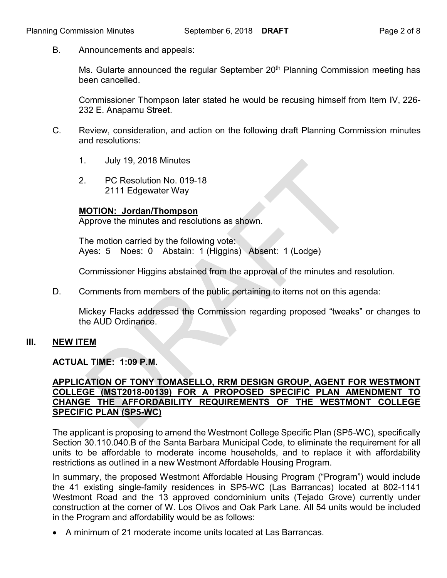B. Announcements and appeals:

Ms. Gularte announced the regular September  $20<sup>th</sup>$  Planning Commission meeting has been cancelled.

Commissioner Thompson later stated he would be recusing himself from Item IV, 226- 232 E. Anapamu Street.

- C. Review, consideration, and action on the following draft Planning Commission minutes and resolutions:
	- 1. July 19, 2018 Minutes
	- 2. PC Resolution No. 019-18 2111 Edgewater Way

### **MOTION: Jordan/Thompson**

Approve the minutes and resolutions as shown.

The motion carried by the following vote: Ayes: 5 Noes: 0 Abstain: 1 (Higgins) Absent: 1 (Lodge)

Commissioner Higgins abstained from the approval of the minutes and resolution.

D. Comments from members of the public pertaining to items not on this agenda:

Mickey Flacks addressed the Commission regarding proposed "tweaks" or changes to the AUD Ordinance.

# **III. NEW ITEM**

**ACTUAL TIME: 1:09 P.M.**

#### **APPLICATION OF TONY TOMASELLO, RRM DESIGN GROUP, AGENT FOR WESTMONT COLLEGE (MST2018-00139) FOR A PROPOSED SPECIFIC PLAN AMENDMENT TO CHANGE THE AFFORDABILITY REQUIREMENTS OF THE WESTMONT COLLEGE SPECIFIC PLAN (SP5-WC)**

The applicant is proposing to amend the Westmont College Specific Plan (SP5-WC), specifically Section 30.110.040.B of the Santa Barbara Municipal Code, to eliminate the requirement for all units to be affordable to moderate income households, and to replace it with affordability restrictions as outlined in a new Westmont Affordable Housing Program.

In summary, the proposed Westmont Affordable Housing Program ("Program") would include the 41 existing single-family residences in SP5-WC (Las Barrancas) located at 802-1141 Westmont Road and the 13 approved condominium units (Tejado Grove) currently under construction at the corner of W. Los Olivos and Oak Park Lane. All 54 units would be included in the Program and affordability would be as follows:

· A minimum of 21 moderate income units located at Las Barrancas.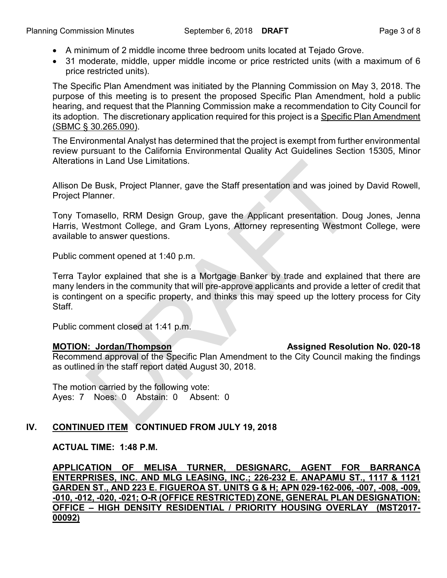- · A minimum of 2 middle income three bedroom units located at Tejado Grove.
- · 31 moderate, middle, upper middle income or price restricted units (with a maximum of 6 price restricted units).

The Specific Plan Amendment was initiated by the Planning Commission on May 3, 2018. The purpose of this meeting is to present the proposed Specific Plan Amendment, hold a public hearing, and request that the Planning Commission make a recommendation to City Council for its adoption. The discretionary application required for this project is a Specific Plan Amendment (SBMC § 30.265.090).

The Environmental Analyst has determined that the project is exempt from further environmental review pursuant to the California Environmental Quality Act Guidelines Section 15305, Minor Alterations in Land Use Limitations.

Allison De Busk, Project Planner, gave the Staff presentation and was joined by David Rowell, Project Planner.

Tony Tomasello, RRM Design Group, gave the Applicant presentation. Doug Jones, Jenna Harris, Westmont College, and Gram Lyons, Attorney representing Westmont College, were available to answer questions.

Public comment opened at 1:40 p.m.

Terra Taylor explained that she is a Mortgage Banker by trade and explained that there are many lenders in the community that will pre-approve applicants and provide a letter of credit that is contingent on a specific property, and thinks this may speed up the lottery process for City **Staff** 

Public comment closed at 1:41 p.m.

Recommend approval of the Specific Plan Amendment to the City Council making the findings as outlined in the staff report dated August 30, 2018.

The motion carried by the following vote: Ayes: 7 Noes: 0 Abstain: 0 Absent: 0

# **IV. CONTINUED ITEM CONTINUED FROM JULY 19, 2018**

**ACTUAL TIME: 1:48 P.M.**

**APPLICATION OF MELISA TURNER, DESIGNARC, AGENT FOR BARRANCA ENTERPRISES, INC. AND MLG LEASING, INC.; 226-232 E. ANAPAMU ST., 1117 & 1121 GARDEN ST., AND 223 E. FIGUEROA ST. UNITS G & H; APN 029-162-006, -007, -008, -009, -010, -012, -020, -021; O-R (OFFICE RESTRICTED) ZONE, GENERAL PLAN DESIGNATION: OFFICE – HIGH DENSITY RESIDENTIAL / PRIORITY HOUSING OVERLAY (MST2017- 00092)**

#### **MOTION: Jordan/Thompson Assigned Resolution No. 020-18**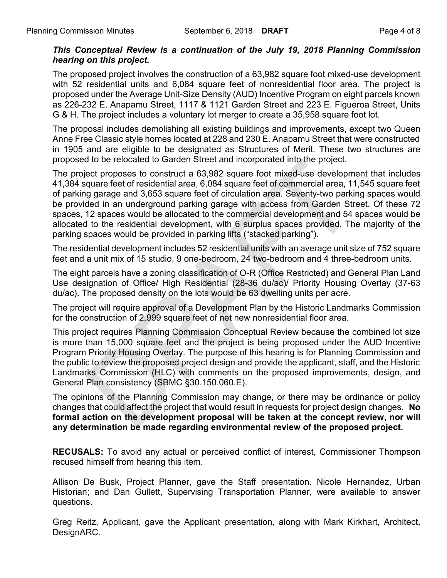# *This Conceptual Review is a continuation of the July 19, 2018 Planning Commission hearing on this project.*

The proposed project involves the construction of a 63,982 square foot mixed-use development with 52 residential units and 6,084 square feet of nonresidential floor area. The project is proposed under the Average Unit-Size Density (AUD) Incentive Program on eight parcels known as 226-232 E. Anapamu Street, 1117 & 1121 Garden Street and 223 E. Figueroa Street, Units G & H. The project includes a voluntary lot merger to create a 35,958 square foot lot.

The proposal includes demolishing all existing buildings and improvements, except two Queen Anne Free Classic style homes located at 228 and 230 E. Anapamu Street that were constructed in 1905 and are eligible to be designated as Structures of Merit. These two structures are proposed to be relocated to Garden Street and incorporated into the project.

The project proposes to construct a 63,982 square foot mixed-use development that includes 41,384 square feet of residential area, 6,084 square feet of commercial area, 11,545 square feet of parking garage and 3,653 square feet of circulation area. Seventy-two parking spaces would be provided in an underground parking garage with access from Garden Street. Of these 72 spaces, 12 spaces would be allocated to the commercial development and 54 spaces would be allocated to the residential development, with 6 surplus spaces provided. The majority of the parking spaces would be provided in parking lifts ("stacked parking").

The residential development includes 52 residential units with an average unit size of 752 square feet and a unit mix of 15 studio, 9 one-bedroom, 24 two-bedroom and 4 three-bedroom units.

The eight parcels have a zoning classification of O-R (Office Restricted) and General Plan Land Use designation of Office/ High Residential (28-36 du/ac)/ Priority Housing Overlay (37-63 du/ac). The proposed density on the lots would be 63 dwelling units per acre.

The project will require approval of a Development Plan by the Historic Landmarks Commission for the construction of 2,999 square feet of net new nonresidential floor area.

This project requires Planning Commission Conceptual Review because the combined lot size is more than 15,000 square feet and the project is being proposed under the AUD Incentive Program Priority Housing Overlay. The purpose of this hearing is for Planning Commission and the public to review the proposed project design and provide the applicant, staff, and the Historic Landmarks Commission (HLC) with comments on the proposed improvements, design, and General Plan consistency (SBMC §30.150.060.E).

The opinions of the Planning Commission may change, or there may be ordinance or policy changes that could affect the project that would result in requests for project design changes. **No formal action on the development proposal will be taken at the concept review, nor will any determination be made regarding environmental review of the proposed project.**

**RECUSALS:** To avoid any actual or perceived conflict of interest, Commissioner Thompson recused himself from hearing this item.

Allison De Busk, Project Planner, gave the Staff presentation. Nicole Hernandez, Urban Historian; and Dan Gullett, Supervising Transportation Planner, were available to answer questions.

Greg Reitz, Applicant, gave the Applicant presentation, along with Mark Kirkhart, Architect, DesignARC.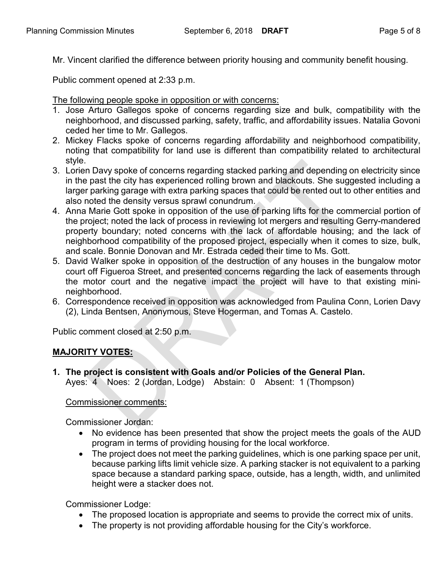Mr. Vincent clarified the difference between priority housing and community benefit housing.

Public comment opened at 2:33 p.m.

The following people spoke in opposition or with concerns:

- 1. Jose Arturo Gallegos spoke of concerns regarding size and bulk, compatibility with the neighborhood, and discussed parking, safety, traffic, and affordability issues. Natalia Govoni ceded her time to Mr. Gallegos.
- 2. Mickey Flacks spoke of concerns regarding affordability and neighborhood compatibility, noting that compatibility for land use is different than compatibility related to architectural style.
- 3. Lorien Davy spoke of concerns regarding stacked parking and depending on electricity since in the past the city has experienced rolling brown and blackouts. She suggested including a larger parking garage with extra parking spaces that could be rented out to other entities and also noted the density versus sprawl conundrum.
- 4. Anna Marie Gott spoke in opposition of the use of parking lifts for the commercial portion of the project; noted the lack of process in reviewing lot mergers and resulting Gerry-mandered property boundary; noted concerns with the lack of affordable housing; and the lack of neighborhood compatibility of the proposed project, especially when it comes to size, bulk, and scale. Bonnie Donovan and Mr. Estrada ceded their time to Ms. Gott.
- 5. David Walker spoke in opposition of the destruction of any houses in the bungalow motor court off Figueroa Street, and presented concerns regarding the lack of easements through the motor court and the negative impact the project will have to that existing minineighborhood.
- 6. Correspondence received in opposition was acknowledged from Paulina Conn, Lorien Davy (2), Linda Bentsen, Anonymous, Steve Hogerman, and Tomas A. Castelo.

Public comment closed at 2:50 p.m.

# **MAJORITY VOTES:**

**1. The project is consistent with Goals and/or Policies of the General Plan.** Ayes: 4 Noes: 2 (Jordan, Lodge) Abstain: 0 Absent: 1 (Thompson)

#### Commissioner comments:

Commissioner Jordan:

- · No evidence has been presented that show the project meets the goals of the AUD program in terms of providing housing for the local workforce.
- The project does not meet the parking guidelines, which is one parking space per unit, because parking lifts limit vehicle size. A parking stacker is not equivalent to a parking space because a standard parking space, outside, has a length, width, and unlimited height were a stacker does not.

Commissioner Lodge:

- · The proposed location is appropriate and seems to provide the correct mix of units.
- The property is not providing affordable housing for the City's workforce.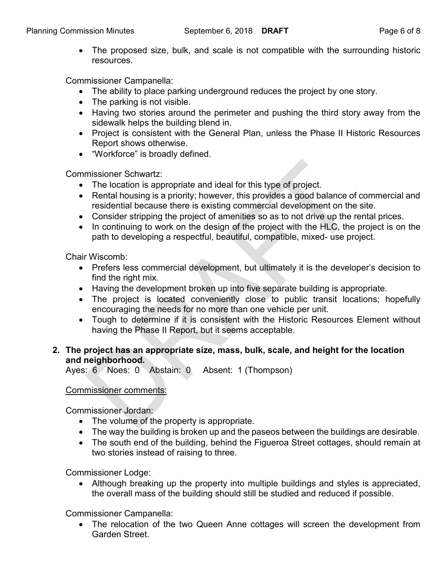• The proposed size, bulk, and scale is not compatible with the surrounding historic resources.

Commissioner Campanella:

- The ability to place parking underground reduces the project by one story.
- · The parking is not visible.
- · Having two stories around the perimeter and pushing the third story away from the sidewalk helps the building blend in.
- · Project is consistent with the General Plan, unless the Phase II Historic Resources Report shows otherwise.
- · "Workforce" is broadly defined.

Commissioner Schwartz:

- The location is appropriate and ideal for this type of project.
- Rental housing is a priority; however, this provides a good balance of commercial and residential because there is existing commercial development on the site.
- · Consider stripping the project of amenities so as to not drive up the rental prices.
- In continuing to work on the design of the project with the HLC, the project is on the path to developing a respectful, beautiful, compatible, mixed- use project.

Chair Wiscomb:

- · Prefers less commercial development, but ultimately it is the developer's decision to find the right mix.
- · Having the development broken up into five separate building is appropriate.
- The project is located conveniently close to public transit locations; hopefully encouraging the needs for no more than one vehicle per unit.
- · Tough to determine if it is consistent with the Historic Resources Element without having the Phase II Report, but it seems acceptable.

# **2. The project has an appropriate size, mass, bulk, scale, and height for the location and neighborhood.**

Ayes: 6 Noes: 0 Abstain: 0 Absent: 1 (Thompson)

# Commissioner comments:

Commissioner Jordan:

- The volume of the property is appropriate.
- · The way the building is broken up and the paseos between the buildings are desirable.
- The south end of the building, behind the Figueroa Street cottages, should remain at two stories instead of raising to three.

Commissioner Lodge:

• Although breaking up the property into multiple buildings and styles is appreciated, the overall mass of the building should still be studied and reduced if possible.

Commissioner Campanella:

· The relocation of the two Queen Anne cottages will screen the development from Garden Street.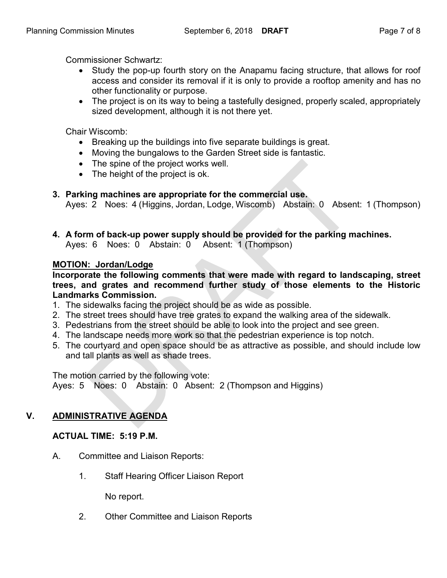Commissioner Schwartz:

- Study the pop-up fourth story on the Anapamu facing structure, that allows for roof access and consider its removal if it is only to provide a rooftop amenity and has no other functionality or purpose.
- The project is on its way to being a tastefully designed, properly scaled, appropriately sized development, although it is not there yet.

Chair Wiscomb:

- · Breaking up the buildings into five separate buildings is great.
- · Moving the bungalows to the Garden Street side is fantastic.
- · The spine of the project works well.
- The height of the project is ok.

# **3. Parking machines are appropriate for the commercial use.**

Ayes: 2 Noes: 4 (Higgins, Jordan, Lodge, Wiscomb) Abstain: 0 Absent: 1 (Thompson)

**4. A form of back-up power supply should be provided for the parking machines.** Ayes: 6 Noes: 0 Abstain: 0 Absent: 1 (Thompson)

# **MOTION: Jordan/Lodge**

**Incorporate the following comments that were made with regard to landscaping, street trees, and grates and recommend further study of those elements to the Historic Landmarks Commission.**

- 1. The sidewalks facing the project should be as wide as possible.
- 2. The street trees should have tree grates to expand the walking area of the sidewalk.
- 3. Pedestrians from the street should be able to look into the project and see green.
- 4. The landscape needs more work so that the pedestrian experience is top notch.
- 5. The courtyard and open space should be as attractive as possible, and should include low and tall plants as well as shade trees.

The motion carried by the following vote: Ayes: 5 Noes: 0 Abstain: 0 Absent: 2 (Thompson and Higgins)

# **V. ADMINISTRATIVE AGENDA**

# **ACTUAL TIME: 5:19 P.M.**

- A. Committee and Liaison Reports:
	- 1. Staff Hearing Officer Liaison Report

No report.

2. Other Committee and Liaison Reports